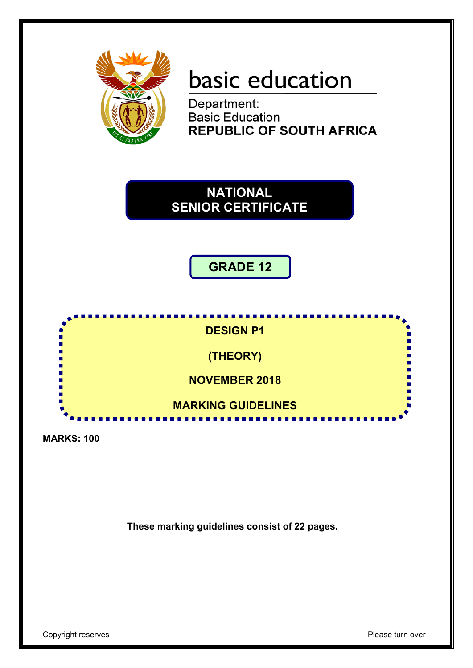

# basic education

Department: **Basic Education REPUBLIC OF SOUTH AFRICA** 

**NATIONAL SENIOR CERTIFICATE**

**GRADE 12**



**MARKS: 100**

**These marking guidelines consist of 22 pages.**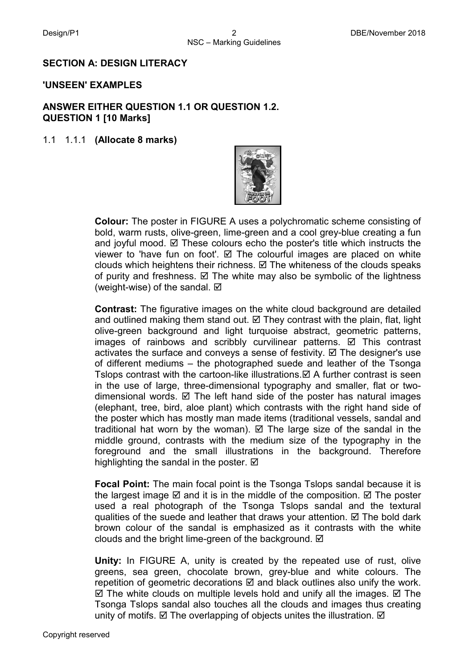## **SECTION A: DESIGN LITERACY**

#### **'UNSEEN' EXAMPLES**

## **ANSWER EITHER QUESTION 1.1 OR QUESTION 1.2. QUESTION 1 [10 Marks]**

#### 1.1 1.1.1 **(Allocate 8 marks)**



**Colour:** The poster in FIGURE A uses a polychromatic scheme consisting of bold, warm rusts, olive-green, lime-green and a cool grey-blue creating a fun and joyful mood.  $\boxtimes$  These colours echo the poster's title which instructs the viewer to 'have fun on foot'.  $\boxtimes$  The colourful images are placed on white clouds which heightens their richness.  $\boxtimes$  The whiteness of the clouds speaks of purity and freshness.  $\boxtimes$  The white may also be symbolic of the lightness (weight-wise) of the sandal.  $\boxtimes$ 

**Contrast:** The figurative images on the white cloud background are detailed and outlined making them stand out.  $\boxtimes$  They contrast with the plain, flat, light olive-green background and light turquoise abstract, geometric patterns, images of rainbows and scribbly curvilinear patterns.  $\boxtimes$  This contrast activates the surface and conveys a sense of festivity.  $\boxtimes$  The designer's use of different mediums – the photographed suede and leather of the Tsonga Tslops contrast with the cartoon-like illustrations.  $\boxtimes$  A further contrast is seen in the use of large, three-dimensional typography and smaller, flat or twodimensional words.  $\boxtimes$  The left hand side of the poster has natural images (elephant, tree, bird, aloe plant) which contrasts with the right hand side of the poster which has mostly man made items (traditional vessels, sandal and traditional hat worn by the woman).  $\boxtimes$  The large size of the sandal in the middle ground, contrasts with the medium size of the typography in the foreground and the small illustrations in the background. Therefore highlighting the sandal in the poster.  $\boxtimes$ 

**Focal Point:** The main focal point is the Tsonga Tslops sandal because it is the largest image  $\boxtimes$  and it is in the middle of the composition.  $\boxtimes$  The poster used a real photograph of the Tsonga Tslops sandal and the textural qualities of the suede and leather that draws your attention.  $\boxtimes$  The bold dark brown colour of the sandal is emphasized as it contrasts with the white clouds and the bright lime-green of the background.  $\boxtimes$ 

**Unity:** In FIGURE A, unity is created by the repeated use of rust, olive greens, sea green, chocolate brown, grey-blue and white colours. The repetition of geometric decorations  $\boxtimes$  and black outlines also unify the work.  $\boxtimes$  The white clouds on multiple levels hold and unify all the images.  $\boxtimes$  The Tsonga Tslops sandal also touches all the clouds and images thus creating unity of motifs.  $\boxtimes$  The overlapping of objects unites the illustration.  $\boxtimes$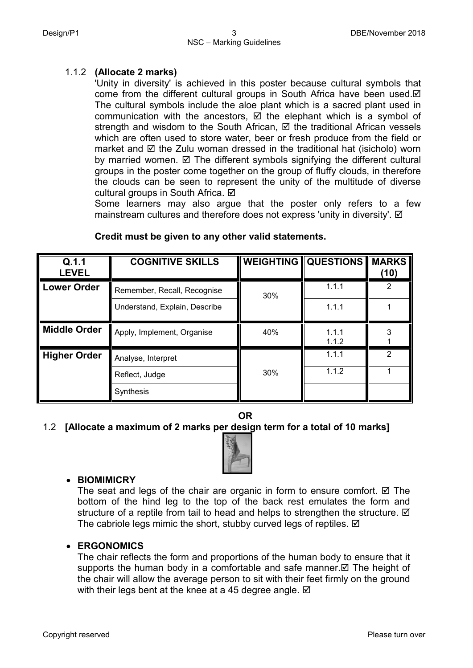## 1.1.2 **(Allocate 2 marks)**

'Unity in diversity' is achieved in this poster because cultural symbols that come from the different cultural groups in South Africa have been used. $\boxtimes$ The cultural symbols include the aloe plant which is a sacred plant used in communication with the ancestors,  $\boxtimes$  the elephant which is a symbol of strength and wisdom to the South African,  $\boxtimes$  the traditional African vessels which are often used to store water, beer or fresh produce from the field or market and  $\boxtimes$  the Zulu woman dressed in the traditional hat (isicholo) worn by married women.  $\boxtimes$  The different symbols signifying the different cultural groups in the poster come together on the group of fluffy clouds, in therefore the clouds can be seen to represent the unity of the multitude of diverse cultural groups in South Africa. Ø

Some learners may also argue that the poster only refers to a few mainstream cultures and therefore does not express 'unity in diversity'. Ø

| Q.1.1<br><b>LEVEL</b> | <b>COGNITIVE SKILLS</b>       | <b>WEIGHTING</b> | <b>QUESTIONS MARKS</b> | (10)           |
|-----------------------|-------------------------------|------------------|------------------------|----------------|
| <b>Lower Order</b>    | Remember, Recall, Recognise   | 30%              | 1.1.1                  | 2              |
|                       | Understand, Explain, Describe |                  | 1.1.1                  |                |
| <b>Middle Order</b>   | Apply, Implement, Organise    | 40%              | 1.1.1<br>1.1.2         |                |
| <b>Higher Order</b>   | Analyse, Interpret            |                  | 1.1.1                  | $\mathfrak{p}$ |
|                       | Reflect, Judge                | 30%              | 1.1.2                  |                |
|                       | Synthesis                     |                  |                        |                |

## **Credit must be given to any other valid statements.**

**OR**

## 1.2 **[Allocate a maximum of 2 marks per design term for a total of 10 marks]**



## • **BIOMIMICRY**

The seat and legs of the chair are organic in form to ensure comfort.  $\boxtimes$  The bottom of the hind leg to the top of the back rest emulates the form and structure of a reptile from tail to head and helps to strengthen the structure.  $\boxtimes$ The cabriole legs mimic the short, stubby curved legs of reptiles.  $\boxtimes$ 

## • **ERGONOMICS**

The chair reflects the form and proportions of the human body to ensure that it supports the human body in a comfortable and safe manner.  $\boxtimes$  The height of the chair will allow the average person to sit with their feet firmly on the ground with their legs bent at the knee at a 45 degree angle.  $\boxtimes$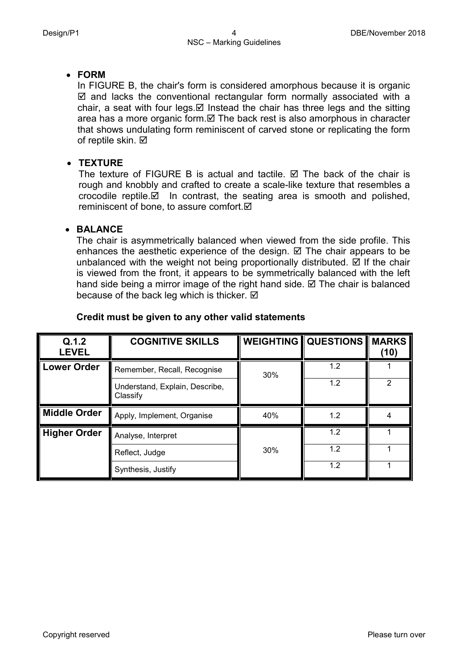## • **FORM**

In FIGURE B, the chair's form is considered amorphous because it is organic  $\boxtimes$  and lacks the conventional rectangular form normally associated with a chair, a seat with four legs.  $\boxtimes$  Instead the chair has three legs and the sitting area has a more organic form. $\boxtimes$  The back rest is also amorphous in character that shows undulating form reminiscent of carved stone or replicating the form of reptile skin.  $\boxtimes$ 

## • **TEXTURE**

The texture of FIGURE B is actual and tactile.  $\boxtimes$  The back of the chair is rough and knobbly and crafted to create a scale-like texture that resembles a crocodile reptile. $\boxtimes$  In contrast, the seating area is smooth and polished, reminiscent of bone, to assure comfort.

## • **BALANCE**

The chair is asymmetrically balanced when viewed from the side profile. This enhances the aesthetic experience of the design.  $\boxtimes$  The chair appears to be unbalanced with the weight not being proportionally distributed.  $\boxtimes$  If the chair is viewed from the front, it appears to be symmetrically balanced with the left hand side being a mirror image of the right hand side.  $\boxtimes$  The chair is balanced because of the back leg which is thicker.  $\boxtimes$ 

| Q.1.2<br><b>LEVEL</b> | <b>COGNITIVE SKILLS</b>                    |     | <b>WEIGHTING QUESTIONS MARKS</b> | (10) |
|-----------------------|--------------------------------------------|-----|----------------------------------|------|
| <b>Lower Order</b>    | Remember, Recall, Recognise                | 30% | 1.2                              |      |
|                       | Understand, Explain, Describe,<br>Classify |     | 1.2                              | 2    |
| Middle Order          | Apply, Implement, Organise                 | 40% | 1.2                              |      |
| <b>Higher Order</b>   | Analyse, Interpret                         |     | 1.2                              |      |
|                       | Reflect, Judge                             | 30% | 1.2                              |      |
|                       | Synthesis, Justify                         |     | 1.2                              |      |

## **Credit must be given to any other valid statements**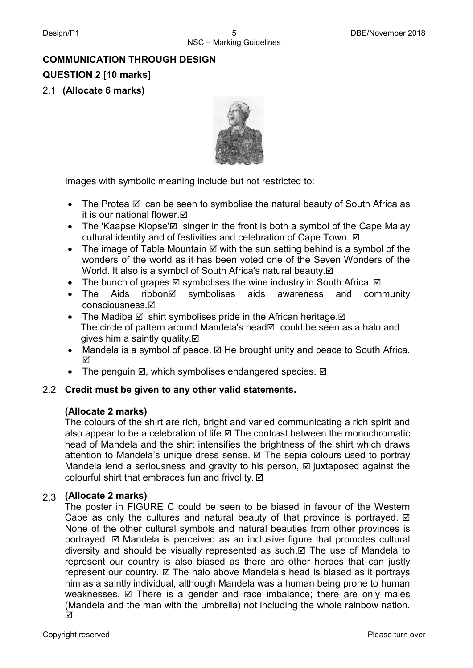# **COMMUNICATION THROUGH DESIGN QUESTION 2 [10 marks]** 2.1 **(Allocate 6 marks)**



Images with symbolic meaning include but not restricted to:

- The Protea  $\boxtimes$  can be seen to symbolise the natural beauty of South Africa as it is our national flower.⊠
- The 'Kaapse Klopse' $\boxtimes$  singer in the front is both a symbol of the Cape Malay cultural identity and of festivities and celebration of Cape Town.
- The image of Table Mountain  $\boxtimes$  with the sun setting behind is a symbol of the wonders of the world as it has been voted one of the Seven Wonders of the World. It also is a symbol of South Africa's natural beauty. $\boxtimes$
- The bunch of grapes  $\boxtimes$  symbolises the wine industry in South Africa.  $\boxtimes$
- The Aids ribbon⊠ symbolises aids awareness and community consciousness.
- The Madiba  $\boxtimes$  shirt symbolises pride in the African heritage.  $\boxtimes$ The circle of pattern around Mandela's head  $\boxtimes$  could be seen as a halo and gives him a saintly quality.  $\boxtimes$
- Mandela is a symbol of peace.  $\boxtimes$  He brought unity and peace to South Africa. ☑
- The penguin  $\boxtimes$ , which symbolises endangered species.  $\boxtimes$

## 2.2 **Credit must be given to any other valid statements.**

## **(Allocate 2 marks)**

The colours of the shirt are rich, bright and varied communicating a rich spirit and also appear to be a celebration of life. $\boxtimes$  The contrast between the monochromatic head of Mandela and the shirt intensifies the brightness of the shirt which draws attention to Mandela's unique dress sense.  $\boxtimes$  The sepia colours used to portray Mandela lend a seriousness and gravity to his person,  $\boxtimes$  juxtaposed against the colourful shirt that embraces fun and frivolity. ☑

## 2.3 **(Allocate 2 marks)**

The poster in FIGURE C could be seen to be biased in favour of the Western Cape as only the cultures and natural beauty of that province is portrayed.  $\boxtimes$ None of the other cultural symbols and natural beauties from other provinces is portrayed. Mandela is perceived as an inclusive figure that promotes cultural diversity and should be visually represented as such. $\boxtimes$  The use of Mandela to represent our country is also biased as there are other heroes that can justly represent our country.  $\boxtimes$  The halo above Mandela's head is biased as it portrays him as a saintly individual, although Mandela was a human being prone to human weaknesses.  $\boxtimes$  There is a gender and race imbalance; there are only males (Mandela and the man with the umbrella) not including the whole rainbow nation. ☑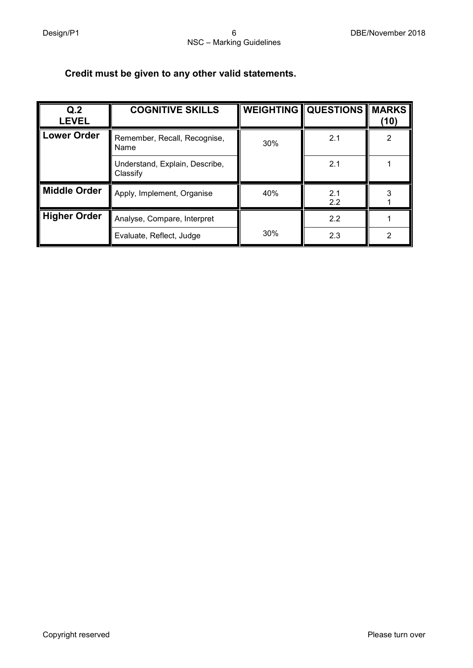## **Credit must be given to any other valid statements.**

| Q.2<br><b>LEVEL</b> | <b>COGNITIVE SKILLS</b>                    |     | <b>WEIGHTING   QUESTIONS</b> | <b>MARKS</b><br>(10) |
|---------------------|--------------------------------------------|-----|------------------------------|----------------------|
| Lower Order         | Remember, Recall, Recognise,<br>Name       | 30% | 2.1                          | 2                    |
|                     | Understand, Explain, Describe,<br>Classify |     | 2.1                          |                      |
| <b>Middle Order</b> | Apply, Implement, Organise                 | 40% | 2.1<br>2.2                   |                      |
| <b>Higher Order</b> | Analyse, Compare, Interpret                |     | 2.2                          |                      |
|                     | Evaluate, Reflect, Judge                   | 30% | 2.3                          | っ                    |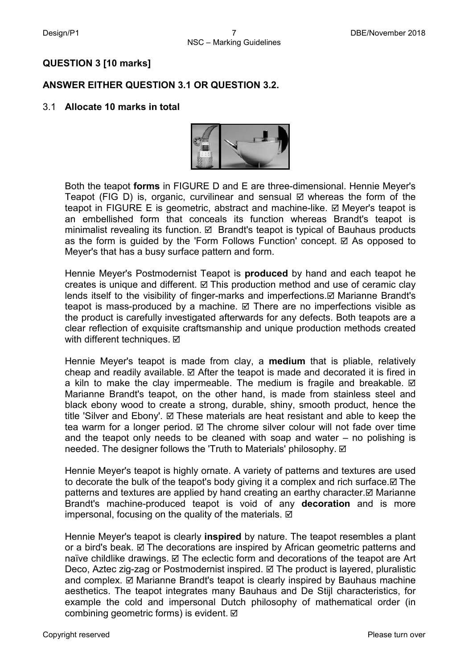## **QUESTION 3 [10 marks]**

## **ANSWER EITHER QUESTION 3.1 OR QUESTION 3.2.**

## 3.1 **Allocate 10 marks in total**



Both the teapot **forms** in FIGURE D and E are three-dimensional. Hennie Meyer's Teapot (FIG D) is, organic, curvilinear and sensual  $\boxtimes$  whereas the form of the teapot in FIGURE E is geometric, abstract and machine-like.  $\boxtimes$  Meyer's teapot is an embellished form that conceals its function whereas Brandt's teapot is minimalist revealing its function.  $\boxtimes$  Brandt's teapot is typical of Bauhaus products as the form is guided by the 'Form Follows Function' concept.  $\boxtimes$  As opposed to Meyer's that has a busy surface pattern and form.

Hennie Meyer's Postmodernist Teapot is **produced** by hand and each teapot he creates is unique and different.  $\boxtimes$  This production method and use of ceramic clay lends itself to the visibility of finger-marks and imperfections. $✓$  Marianne Brandt's teapot is mass-produced by a machine.  $\boxtimes$  There are no imperfections visible as the product is carefully investigated afterwards for any defects. Both teapots are a clear reflection of exquisite craftsmanship and unique production methods created with different techniques. **Ø** 

Hennie Meyer's teapot is made from clay, a **medium** that is pliable, relatively cheap and readily available.  $\boxtimes$  After the teapot is made and decorated it is fired in a kiln to make the clay impermeable. The medium is fragile and breakable.  $\boxtimes$ Marianne Brandt's teapot, on the other hand, is made from stainless steel and black ebony wood to create a strong, durable, shiny, smooth product, hence the title 'Silver and Ebony'.  $\boxtimes$  These materials are heat resistant and able to keep the tea warm for a longer period.  $\boxtimes$  The chrome silver colour will not fade over time and the teapot only needs to be cleaned with soap and water – no polishing is needed. The designer follows the 'Truth to Materials' philosophy. Ø

Hennie Meyer's teapot is highly ornate. A variety of patterns and textures are used to decorate the bulk of the teapot's body giving it a complex and rich surface.  $\boxtimes$  The patterns and textures are applied by hand creating an earthy character. $\boxtimes$  Marianne Brandt's machine-produced teapot is void of any **decoration** and is more impersonal, focusing on the quality of the materials.  $\boxtimes$ 

Hennie Meyer's teapot is clearly **inspired** by nature. The teapot resembles a plant or a bird's beak.  $\boxtimes$  The decorations are inspired by African geometric patterns and naïve childlike drawings.  $\boxtimes$  The eclectic form and decorations of the teapot are Art Deco, Aztec zig-zag or Postmodernist inspired.  $\boxtimes$  The product is layered, pluralistic and complex.  $\boxtimes$  Marianne Brandt's teapot is clearly inspired by Bauhaus machine aesthetics. The teapot integrates many Bauhaus and De Stijl characteristics, for example the cold and impersonal Dutch philosophy of mathematical order (in combining geometric forms) is evident.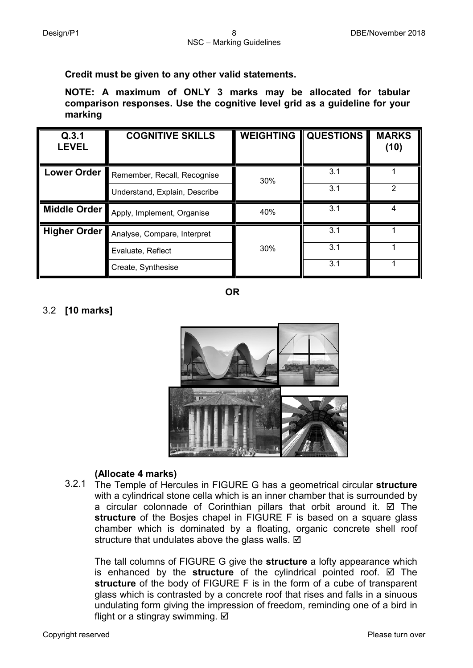## **Credit must be given to any other valid statements.**

**NOTE: A maximum of ONLY 3 marks may be allocated for tabular comparison responses. Use the cognitive level grid as a guideline for your marking**

| Q.3.1<br><b>LEVEL</b> | <b>COGNITIVE SKILLS</b>       | <b>WEIGHTING</b> | <b>QUESTIONS</b> | <b>MARKS</b><br>(10) |
|-----------------------|-------------------------------|------------------|------------------|----------------------|
| <b>Lower Order</b>    | Remember, Recall, Recognise   | 30%              | 3.1              |                      |
|                       | Understand, Explain, Describe |                  | 3.1              | 2                    |
| Middle Order          | Apply, Implement, Organise    | 40%              | 3.1              |                      |
| Higher Order          | Analyse, Compare, Interpret   |                  | 3.1              |                      |
|                       | Evaluate, Reflect             | 30%              | 3.1              |                      |
|                       | Create, Synthesise            |                  | 3.1              |                      |

**OR**

## 3.2 **[10 marks]**



## **(Allocate 4 marks)**

3.2.1 The Temple of Hercules in FIGURE G has a geometrical circular **structure** with a cylindrical stone cella which is an inner chamber that is surrounded by a circular colonnade of Corinthian pillars that orbit around it.  $\boxtimes$  The **structure** of the Bosjes chapel in FIGURE F is based on a square glass chamber which is dominated by a floating, organic concrete shell roof structure that undulates above the glass walls.  $\boxtimes$ 

The tall columns of FIGURE G give the **structure** a lofty appearance which is enhanced by the **structure** of the cylindrical pointed roof.  $\boxtimes$  The **structure** of the body of FIGURE F is in the form of a cube of transparent glass which is contrasted by a concrete roof that rises and falls in a sinuous undulating form giving the impression of freedom, reminding one of a bird in flight or a stingray swimming.  $\boxtimes$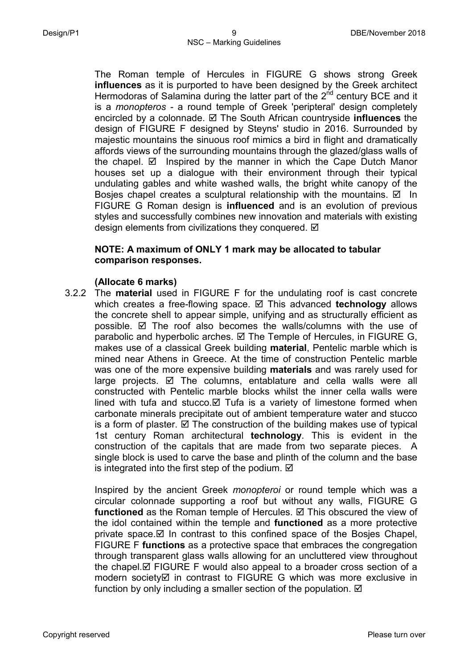The Roman temple of Hercules in FIGURE G shows strong Greek **influences** as it is purported to have been designed by the Greek architect Hermodoras of Salamina during the latter part of the  $2<sup>nd</sup>$  century BCE and it is a *monopteros* - a round temple of Greek 'peripteral' design completely encircled by a colonnade. The South African countryside **influences** the design of FIGURE F designed by Steyns' studio in 2016. Surrounded by majestic mountains the sinuous roof mimics a bird in flight and dramatically affords views of the surrounding mountains through the glazed/glass walls of the chapel.  $\boxtimes$  Inspired by the manner in which the Cape Dutch Manor houses set up a dialogue with their environment through their typical undulating gables and white washed walls, the bright white canopy of the Bosjes chapel creates a sculptural relationship with the mountains.  $\boxtimes$  In FIGURE G Roman design is **influenced** and is an evolution of previous styles and successfully combines new innovation and materials with existing design elements from civilizations they conquered.  $\boxtimes$ 

## **NOTE: A maximum of ONLY 1 mark may be allocated to tabular comparison responses.**

## **(Allocate 6 marks)**

3.2.2 The **material** used in FIGURE F for the undulating roof is cast concrete which creates a free-flowing space. **Ø** This advanced **technology** allows the concrete shell to appear simple, unifying and as structurally efficient as possible.  $\boxtimes$  The roof also becomes the walls/columns with the use of parabolic and hyperbolic arches.  $\boxtimes$  The Temple of Hercules, in FIGURE G, makes use of a classical Greek building **material**, Pentelic marble which is mined near Athens in Greece. At the time of construction Pentelic marble was one of the more expensive building **materials** and was rarely used for large projects.  $\boxtimes$  The columns, entablature and cella walls were all constructed with Pentelic marble blocks whilst the inner cella walls were lined with tufa and stucco.  $\boxtimes$  Tufa is a variety of limestone formed when carbonate minerals precipitate out of ambient temperature water and stucco is a form of plaster.  $\boxtimes$  The construction of the building makes use of typical 1st century Roman architectural **technology**. This is evident in the construction of the capitals that are made from two separate pieces. A single block is used to carve the base and plinth of the column and the base is integrated into the first step of the podium.  $\boxtimes$ 

Inspired by the ancient Greek *monopteroi* or round temple which was a circular colonnade supporting a roof but without any walls, FIGURE G functioned as the Roman temple of Hercules. **⊠** This obscured the view of the idol contained within the temple and **functioned** as a more protective private space.  $\boxtimes$  In contrast to this confined space of the Bosies Chapel, FIGURE F **functions** as a protective space that embraces the congregation through transparent glass walls allowing for an uncluttered view throughout the chapel. $\boxtimes$  FIGURE F would also appeal to a broader cross section of a modern society in contrast to FIGURE G which was more exclusive in function by only including a smaller section of the population.  $\boxtimes$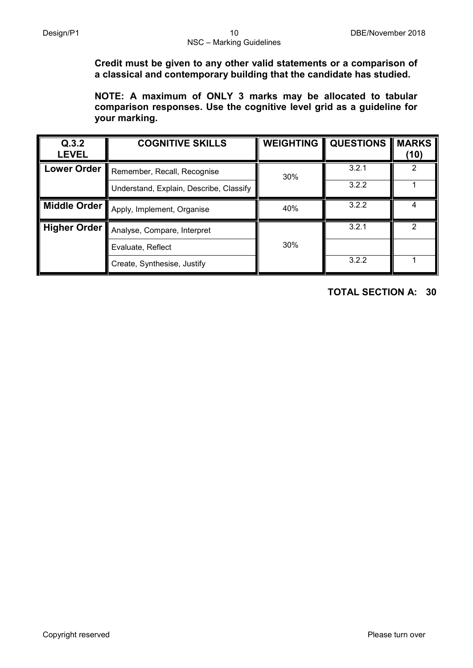**Credit must be given to any other valid statements or a comparison of a classical and contemporary building that the candidate has studied.**

**NOTE: A maximum of ONLY 3 marks may be allocated to tabular comparison responses. Use the cognitive level grid as a guideline for your marking.**

| Q.3.2<br><b>LEVEL</b> | <b>COGNITIVE SKILLS</b>                 | <b>WEIGHTING</b> | <b>QUESTIONS</b> | <b>MARKS</b><br>(10) |
|-----------------------|-----------------------------------------|------------------|------------------|----------------------|
| <b>Lower Order</b>    | Remember, Recall, Recognise             | 30%              | 3.2.1            |                      |
|                       | Understand, Explain, Describe, Classify |                  | 3.2.2            |                      |
| Middle Order          | Apply, Implement, Organise              | 40%              | 3.2.2            |                      |
| <b>Higher Order</b>   | Analyse, Compare, Interpret             |                  | 3.2.1            |                      |
|                       | Evaluate, Reflect                       | 30%              |                  |                      |
|                       | Create, Synthesise, Justify             |                  | 3.2.2            |                      |

**TOTAL SECTION A: 30**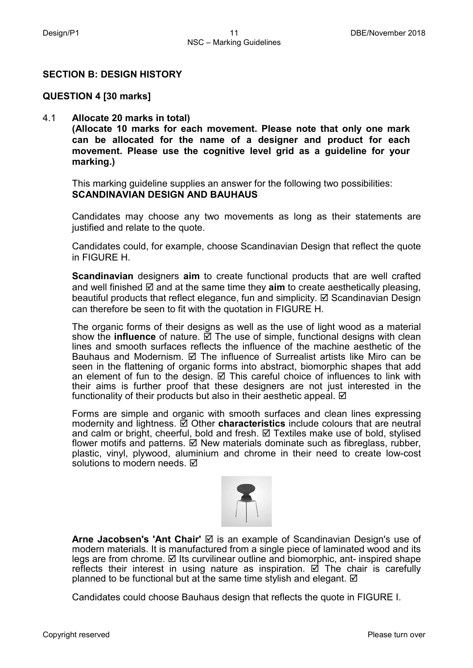## **SECTION B: DESIGN HISTORY**

#### **QUESTION 4 [30 marks]**

#### 4.1 **Allocate 20 marks in total)**

**(Allocate 10 marks for each movement. Please note that only one mark can be allocated for the name of a designer and product for each movement. Please use the cognitive level grid as a guideline for your marking.)**

This marking guideline supplies an answer for the following two possibilities: **SCANDINAVIAN DESIGN AND BAUHAUS**

Candidates may choose any two movements as long as their statements are justified and relate to the quote.

Candidates could, for example, choose Scandinavian Design that reflect the quote in FIGURE H.

**Scandinavian** designers **aim** to create functional products that are well crafted and well finished  $\boxtimes$  and at the same time they **aim** to create aesthetically pleasing, beautiful products that reflect elegance, fun and simplicity.  $\boxtimes$  Scandinavian Design can therefore be seen to fit with the quotation in FIGURE H.

The organic forms of their designs as well as the use of light wood as a material show the **influence** of nature.  $\vec{Q}$  The use of simple, functional designs with clean lines and smooth surfaces reflects the influence of the machine aesthetic of the Bauhaus and Modernism.  $\boxtimes$  The influence of Surrealist artists like Miro can be seen in the flattening of organic forms into abstract, biomorphic shapes that add an element of fun to the design.  $\boxtimes$  This careful choice of influences to link with their aims is further proof that these designers are not just interested in the functionality of their products but also in their aesthetic appeal.  $\boxtimes$ 

Forms are simple and organic with smooth surfaces and clean lines expressing modernity and lightness.  $\vec{\mathbb{Z}}$  Other **characteristics** include colours that are neutral and calm or bright, cheerful, bold and fresh.  $\boxtimes$  Textiles make use of bold, stylised flower motifs and patterns.  $\boxtimes$  New materials dominate such as fibreglass, rubber, plastic, vinyl, plywood, aluminium and chrome in their need to create low-cost solutions to modern needs.  $\boxtimes$ 



**Arne Jacobsen's 'Ant Chair'** is an example of Scandinavian Design's use of modern materials. It is manufactured from a single piece of laminated wood and its legs are from chrome.  $\boxtimes$  Its curvilinear outline and biomorphic, ant- inspired shape reflects their interest in using nature as inspiration.  $\Box$  The chair is carefully planned to be functional but at the same time stylish and elegant.  $\boxtimes$ 

Candidates could choose Bauhaus design that reflects the quote in FIGURE I.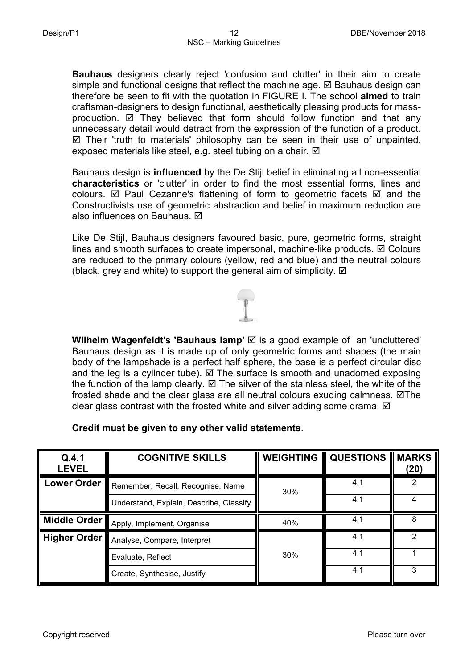**Bauhaus** designers clearly reject 'confusion and clutter' in their aim to create simple and functional designs that reflect the machine age.  $\boxtimes$  Bauhaus design can therefore be seen to fit with the quotation in FIGURE I. The school **aimed** to train craftsman-designers to design functional, aesthetically pleasing products for massproduction.  $\boxtimes$  They believed that form should follow function and that any unnecessary detail would detract from the expression of the function of a product.  $\boxtimes$  Their 'truth to materials' philosophy can be seen in their use of unpainted, exposed materials like steel, e.g. steel tubing on a chair.  $✓$ 

Bauhaus design is **influenced** by the De Stijl belief in eliminating all non-essential **characteristics** or 'clutter' in order to find the most essential forms, lines and colours.  $\boxtimes$  Paul Cezanne's flattening of form to geometric facets  $\boxtimes$  and the Constructivists use of geometric abstraction and belief in maximum reduction are also influences on Bauhaus.  $⊓$ 

Like De Stijl, Bauhaus designers favoured basic, pure, geometric forms, straight lines and smooth surfaces to create impersonal, machine-like products.  $\boxtimes$  Colours are reduced to the primary colours (yellow, red and blue) and the neutral colours (black, grey and white) to support the general aim of simplicity.  $\boxtimes$ 

**Wilhelm Wagenfeldt's 'Bauhaus lamp'**  $\textcircled{}$  is a good example of an 'uncluttered' Bauhaus design as it is made up of only geometric forms and shapes (the main body of the lampshade is a perfect half sphere, the base is a perfect circular disc and the leg is a cylinder tube).  $\boxtimes$  The surface is smooth and unadorned exposing the function of the lamp clearly.  $\boxtimes$  The silver of the stainless steel, the white of the frosted shade and the clear glass are all neutral colours exuding calmness.  $\boxtimes$ The clear glass contrast with the frosted white and silver adding some drama.  $\boxtimes$ 

## **Credit must be given to any other valid statements**.

| Q.4.1<br><b>LEVEL</b> | <b>COGNITIVE SKILLS</b>                 | <b>WEIGHTING</b> | <b>QUESTIONS</b> | <b>MARKS</b><br>(20) |
|-----------------------|-----------------------------------------|------------------|------------------|----------------------|
| <b>Lower Order</b>    | Remember, Recall, Recognise, Name       | 30%              | 4.1              |                      |
|                       | Understand, Explain, Describe, Classify |                  | 4.1              |                      |
| Middle Order          | Apply, Implement, Organise              | 40%              | 4.1              | 8                    |
| <b>Higher Order</b>   | Analyse, Compare, Interpret             |                  | 4.1              | 2                    |
|                       | Evaluate, Reflect                       | 30%              | 4.1              |                      |
|                       | Create, Synthesise, Justify             |                  | 4.1              | 3                    |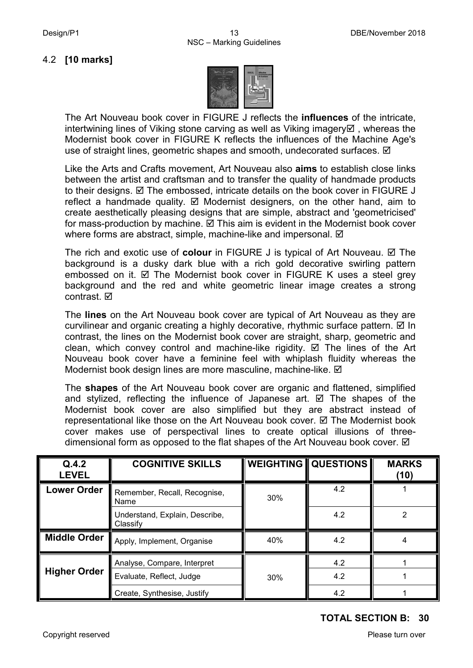## 4.2 **[10 marks]**



The Art Nouveau book cover in FIGURE J reflects the **influences** of the intricate, intertwining lines of Viking stone carving as well as Viking imagery  $\boxtimes$ , whereas the Modernist book cover in FIGURE K reflects the influences of the Machine Age's use of straight lines, geometric shapes and smooth, undecorated surfaces.  $\boxtimes$ 

Like the Arts and Crafts movement, Art Nouveau also **aims** to establish close links between the artist and craftsman and to transfer the quality of handmade products to their designs.  $\boxtimes$  The embossed, intricate details on the book cover in FIGURE J reflect a handmade quality.  $\boxtimes$  Modernist designers, on the other hand, aim to create aesthetically pleasing designs that are simple, abstract and 'geometricised' for mass-production by machine.  $\boxtimes$  This aim is evident in the Modernist book cover where forms are abstract, simple, machine-like and impersonal.  $\boxtimes$ 

The rich and exotic use of **colour** in FIGURE J is typical of Art Nouveau. **Ø** The background is a dusky dark blue with a rich gold decorative swirling pattern embossed on it.  $\boxtimes$  The Modernist book cover in FIGURE K uses a steel grey background and the red and white geometric linear image creates a strong contrast. **⊠** 

The **lines** on the Art Nouveau book cover are typical of Art Nouveau as they are curvilinear and organic creating a highly decorative, rhythmic surface pattern.  $\boxtimes$  In contrast, the lines on the Modernist book cover are straight, sharp, geometric and clean, which convey control and machine-like rigidity.  $\boxtimes$  The lines of the Art Nouveau book cover have a feminine feel with whiplash fluidity whereas the Modernist book design lines are more masculine, machine-like. Ø

The **shapes** of the Art Nouveau book cover are organic and flattened, simplified and stylized, reflecting the influence of Japanese art.  $\boxtimes$  The shapes of the Modernist book cover are also simplified but they are abstract instead of representational like those on the Art Nouveau book cover.  $\boxtimes$  The Modernist book cover makes use of perspectival lines to create optical illusions of threedimensional form as opposed to the flat shapes of the Art Nouveau book cover.  $\boxtimes$ 

| Q.4.2<br><b>LEVEL</b> | <b>COGNITIVE SKILLS</b>                                 |     | <b>WEIGHTING QUESTIONS</b> | <b>MARKS</b><br>(10) |
|-----------------------|---------------------------------------------------------|-----|----------------------------|----------------------|
| <b>Lower Order</b>    | Remember, Recall, Recognise,<br>Name                    | 30% | 4.2                        |                      |
|                       | Understand, Explain, Describe,<br>Classify              |     | 4.2                        | 2                    |
| <b>Middle Order</b>   | Apply, Implement, Organise                              | 40% | 4.2                        | 4                    |
| <b>Higher Order</b>   | Analyse, Compare, Interpret<br>Evaluate, Reflect, Judge | 30% | 4.2<br>4.2                 |                      |
|                       | Create, Synthesise, Justify                             |     | 4.2                        |                      |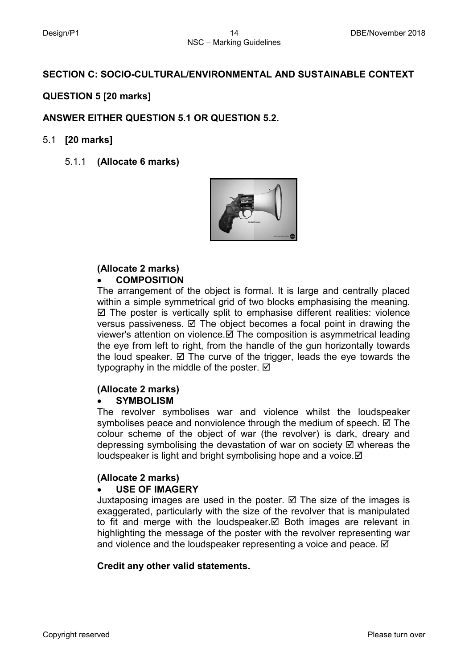## **SECTION C: SOCIO-CULTURAL/ENVIRONMENTAL AND SUSTAINABLE CONTEXT**

## **QUESTION 5 [20 marks]**

## **ANSWER EITHER QUESTION 5.1 OR QUESTION 5.2.**

## 5.1 **[20 marks]**

5.1.1 **(Allocate 6 marks)**



#### **(Allocate 2 marks)** • **COMPOSITION**

The arrangement of the object is formal. It is large and centrally placed within a simple symmetrical grid of two blocks emphasising the meaning.  $\boxtimes$  The poster is vertically split to emphasise different realities: violence versus passiveness.  $\boxtimes$  The object becomes a focal point in drawing the viewer's attention on violence. $\boxtimes$  The composition is asymmetrical leading the eye from left to right, from the handle of the gun horizontally towards the loud speaker.  $\boxtimes$  The curve of the trigger, leads the eye towards the typography in the middle of the poster.  $\boxtimes$ 

#### **(Allocate 2 marks)**

#### • **SYMBOLISM**

The revolver symbolises war and violence whilst the loudspeaker symbolises peace and nonviolence through the medium of speech.  $\boxtimes$  The colour scheme of the object of war (the revolver) is dark, dreary and depressing symbolising the devastation of war on society  $\boxtimes$  whereas the loudspeaker is light and bright symbolising hope and a voice.

#### **(Allocate 2 marks)**

#### • **USE OF IMAGERY**

Juxtaposing images are used in the poster.  $\boxtimes$  The size of the images is exaggerated, particularly with the size of the revolver that is manipulated to fit and merge with the loudspeaker. $\boxtimes$  Both images are relevant in highlighting the message of the poster with the revolver representing war and violence and the loudspeaker representing a voice and peace.  $\boxtimes$ 

#### **Credit any other valid statements.**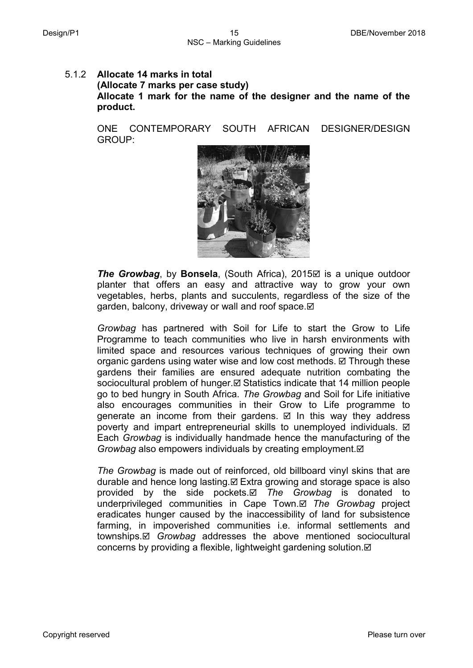## 5.1.2 **Allocate 14 marks in total (Allocate 7 marks per case study) Allocate 1 mark for the name of the designer and the name of the product.**

ONE CONTEMPORARY SOUTH AFRICAN DESIGNER/DESIGN GROUP:



**The Growbag**, by **Bonsela**, (South Africa), 2015⊠ is a unique outdoor planter that offers an easy and attractive way to grow your own vegetables, herbs, plants and succulents, regardless of the size of the garden, balcony, driveway or wall and roof space.  $\boxtimes$ 

*Growbag* has partnered with Soil for Life to start the Grow to Life Programme to teach communities who live in harsh environments with limited space and resources various techniques of growing their own organic gardens using water wise and low cost methods.  $\boxtimes$  Through these gardens their families are ensured adequate nutrition combating the sociocultural problem of hunger. $\boxtimes$  Statistics indicate that 14 million people go to bed hungry in South Africa. *The Growbag* and Soil for Life initiative also encourages communities in their Grow to Life programme to generate an income from their gardens.  $\boxtimes$  In this way they address poverty and impart entrepreneurial skills to unemployed individuals. Each *Growbag* is individually handmade hence the manufacturing of the *Growbag* also empowers individuals by creating employment.

*The Growbag* is made out of reinforced, old billboard vinyl skins that are durable and hence long lasting. $\boxtimes$  Extra growing and storage space is also provided by the side pockets. *The Growbag* is donated to underprivileged communities in Cape Town. *The Growbag* project eradicates hunger caused by the inaccessibility of land for subsistence farming, in impoverished communities i.e. informal settlements and townships. *Growbag* addresses the above mentioned sociocultural concerns by providing a flexible, lightweight gardening solution.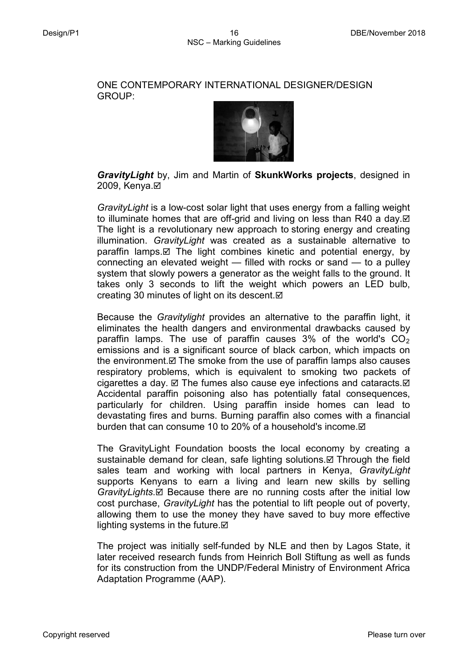#### ONE CONTEMPORARY INTERNATIONAL DESIGNER/DESIGN GROUP:



*GravityLight* by, Jim and Martin of **SkunkWorks projects**, designed in 2009, Kenya.**Ø** 

*GravityLight* is a low-cost solar light that uses energy from a falling weight to illuminate homes that are off-grid and living on less than R40 a day. $\boxtimes$ The light is a revolutionary new approach to storing energy and creating illumination. *GravityLight* was created as a sustainable alternative to  $\text{param}$  lamps. $\boxtimes$  The light combines kinetic and potential energy, by connecting an elevated weight — filled with rocks or sand — to a pulley system that slowly powers a generator as the weight falls to the ground. It takes only 3 seconds to lift the weight which powers an LED bulb, creating 30 minutes of light on its descent.⊠

Because the *Gravitylight* provides an alternative to the paraffin light, it eliminates the health dangers and environmental drawbacks caused by paraffin lamps. The use of paraffin causes  $3\%$  of the world's  $CO<sub>2</sub>$ emissions and is a significant source of black carbon, which impacts on the environment.  $\boxtimes$  The smoke from the use of paraffin lamps also causes respiratory problems, which is equivalent to smoking two packets of cigarettes a day.  $\boxtimes$  The fumes also cause eye infections and cataracts.  $\boxtimes$ Accidental paraffin poisoning also has potentially fatal consequences, particularly for children. Using paraffin inside homes can lead to devastating fires and burns. Burning paraffin also comes with a financial burden that can consume 10 to 20% of a household's income.

The GravityLight Foundation boosts the local economy by creating a sustainable demand for clean, safe lighting solutions. I Through the field sales team and working with local partners in Kenya, *GravityLight* supports Kenyans to earn a living and learn new skills by selling *GravityLights*. *⊠* Because there are no running costs after the initial low cost purchase, *GravityLight* has the potential to lift people out of poverty, allowing them to use the money they have saved to buy more effective lighting systems in the future. $\boxtimes$ 

The project was initially self-funded by NLE and then by Lagos State, it later received research funds from Heinrich Boll Stiftung as well as funds for its construction from the UNDP/Federal Ministry of Environment Africa Adaptation Programme (AAP).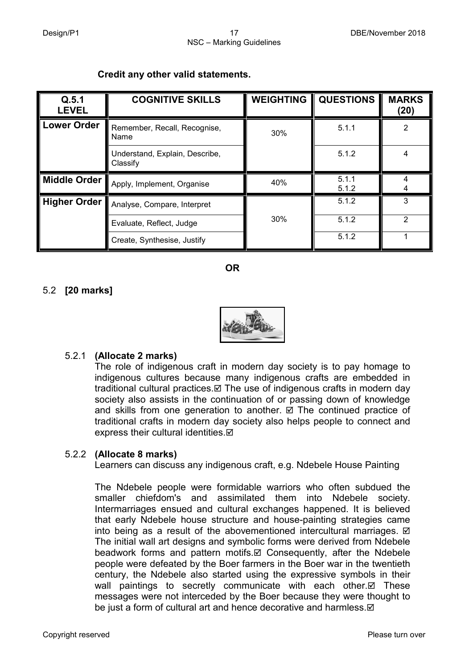|  |  |  | Credit any other valid statements. |
|--|--|--|------------------------------------|
|--|--|--|------------------------------------|

| Q.5.1<br><b>LEVEL</b> | <b>COGNITIVE SKILLS</b>                    | <b>WEIGHTING</b> | <b>QUESTIONS</b> | <b>MARKS</b><br>(20) |
|-----------------------|--------------------------------------------|------------------|------------------|----------------------|
| <b>Lower Order</b>    | Remember, Recall, Recognise,<br>Name       | 30%              | 5.1.1            | 2                    |
|                       | Understand, Explain, Describe,<br>Classify |                  | 5.1.2            | 4                    |
| Middle Order          | Apply, Implement, Organise                 | 40%              | 5.1.1<br>5.1.2   |                      |
| <b>Higher Order</b>   | Analyse, Compare, Interpret                |                  | 5.1.2            | 3                    |
|                       | Evaluate, Reflect, Judge                   | 30%              | 5.1.2            | 2                    |
|                       | Create, Synthesise, Justify                |                  | 5.1.2            |                      |

## **OR**

## 5.2 **[20 marks]**



## 5.2.1 **(Allocate 2 marks)**

The role of indigenous craft in modern day society is to pay homage to indigenous cultures because many indigenous crafts are embedded in traditional cultural practices.  $\boxtimes$  The use of indigenous crafts in modern day society also assists in the continuation of or passing down of knowledge and skills from one generation to another.  $\boxtimes$  The continued practice of traditional crafts in modern day society also helps people to connect and express their cultural identities. $\boxtimes$ 

## 5.2.2 **(Allocate 8 marks)**

Learners can discuss any indigenous craft, e.g. Ndebele House Painting

The Ndebele people were formidable warriors who often subdued the smaller chiefdom's and assimilated them into Ndebele society. Intermarriages ensued and cultural exchanges happened. It is believed that early Ndebele house structure and house-painting strategies came into being as a result of the abovementioned intercultural marriages.  $\boxtimes$ The initial wall art designs and symbolic forms were derived from Ndebele beadwork forms and pattern motifs.  $\boxtimes$  Consequently, after the Ndebele people were defeated by the Boer farmers in the Boer war in the twentieth century, the Ndebele also started using the expressive symbols in their wall paintings to secretly communicate with each other. $\boxtimes$  These messages were not interceded by the Boer because they were thought to be just a form of cultural art and hence decorative and harmless. $\boxtimes$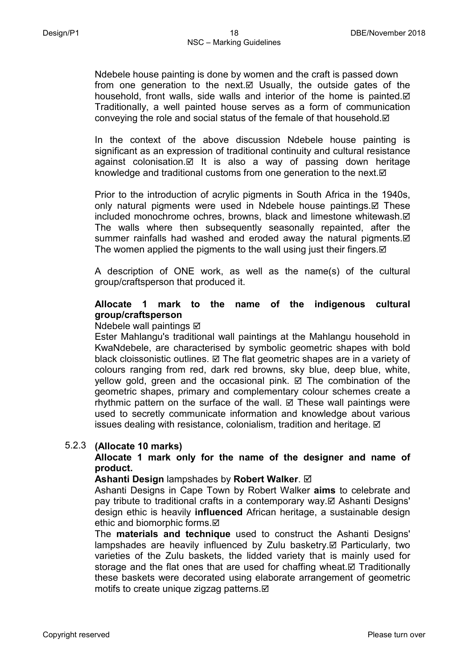Ndebele house painting is done by women and the craft is passed down from one generation to the next.  $\boxtimes$  Usually, the outside gates of the household, front walls, side walls and interior of the home is painted. $\boxtimes$ Traditionally, a well painted house serves as a form of communication conveying the role and social status of the female of that household.

In the context of the above discussion Ndebele house painting is significant as an expression of traditional continuity and cultural resistance against colonisation. $\boxtimes$  It is also a way of passing down heritage knowledge and traditional customs from one generation to the next.  $\boxtimes$ 

Prior to the introduction of acrylic pigments in South Africa in the 1940s, only natural pigments were used in Ndebele house paintings. $\boxtimes$  These included monochrome ochres, browns, black and limestone whitewash. $\boxtimes$ The walls where then subsequently seasonally repainted, after the summer rainfalls had washed and eroded away the natural pigments.  $\boxtimes$ The women applied the pigments to the wall using just their fingers.  $\boxtimes$ 

A description of ONE work, as well as the name(s) of the cultural group/craftsperson that produced it.

## **Allocate 1 mark to the name of the indigenous cultural group/craftsperson**

## Ndebele wall paintings Ø

Ester Mahlangu's traditional wall paintings at the Mahlangu household in KwaNdebele, are characterised by symbolic geometric shapes with bold black cloissonistic outlines.  $\boxtimes$  The flat geometric shapes are in a variety of colours ranging from red, dark red browns, sky blue, deep blue, white, yellow gold, green and the occasional pink.  $\boxtimes$  The combination of the geometric shapes, primary and complementary colour schemes create a rhythmic pattern on the surface of the wall.  $\boxtimes$  These wall paintings were used to secretly communicate information and knowledge about various issues dealing with resistance, colonialism, tradition and heritage.  $\boxtimes$ 

## 5.2.3 **(Allocate 10 marks)**

## **Allocate 1 mark only for the name of the designer and name of product.**

#### **Ashanti Design** lampshades by **Robert Walker**.

Ashanti Designs in Cape Town by Robert Walker **aims** to celebrate and pay tribute to traditional crafts in a contemporary way. Ashanti Designs' design ethic is heavily **influenced** African heritage, a sustainable design ethic and biomorphic forms.⊠

The **materials and technique** used to construct the Ashanti Designs' lampshades are heavily influenced by Zulu basketry. $\boxtimes$  Particularly, two varieties of the Zulu baskets, the lidded variety that is mainly used for storage and the flat ones that are used for chaffing wheat. $\boxtimes$  Traditionally these baskets were decorated using elaborate arrangement of geometric motifs to create unique zigzag patterns. $\boxtimes$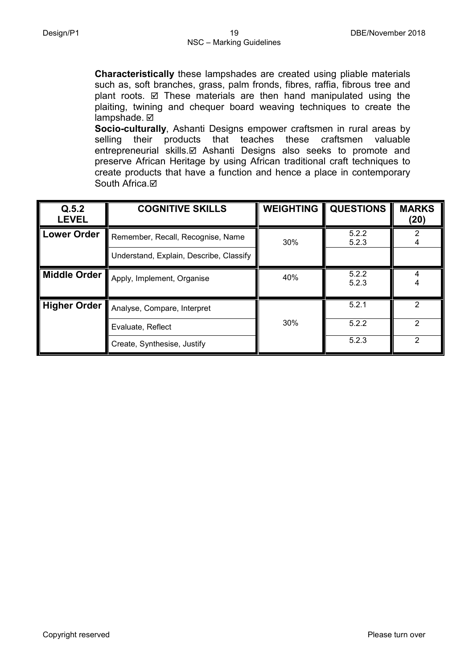**Characteristically** these lampshades are created using pliable materials such as, soft branches, grass, palm fronds, fibres, raffia, fibrous tree and plant roots.  $\boxtimes$  These materials are then hand manipulated using the plaiting, twining and chequer board weaving techniques to create the lampshade. **Ø** 

**Socio-culturally**, Ashanti Designs empower craftsmen in rural areas by selling their products that teaches these craftsmen valuable entrepreneurial skills. Ashanti Designs also seeks to promote and preserve African Heritage by using African traditional craft techniques to create products that have a function and hence a place in contemporary South Africa.**Ø** 

| Q.5.2<br><b>LEVEL</b> | <b>COGNITIVE SKILLS</b>                 | <b>WEIGHTING</b> | <b>QUESTIONS</b> | <b>MARKS</b><br>(20) |
|-----------------------|-----------------------------------------|------------------|------------------|----------------------|
| <b>Lower Order</b>    | Remember, Recall, Recognise, Name       | 30%              | 5.2.2<br>5.2.3   |                      |
|                       | Understand, Explain, Describe, Classify |                  |                  |                      |
| Middle Order          | Apply, Implement, Organise              | 40%              | 5.2.2<br>5.2.3   |                      |
| <b>Higher Order</b>   | Analyse, Compare, Interpret             |                  | 5.2.1            | 2                    |
|                       | Evaluate, Reflect                       | 30%              | 5.2.2            | 2                    |
|                       | Create, Synthesise, Justify             |                  | 5.2.3            | 2                    |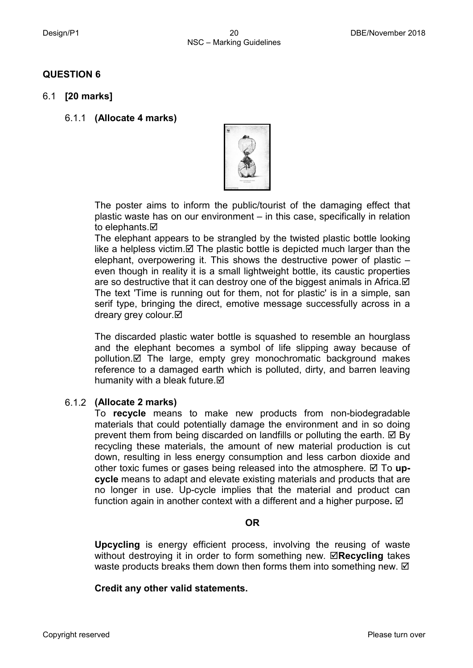## **QUESTION 6**

- 6.1 **[20 marks]**
	- 6.1.1 **(Allocate 4 marks)**



The poster aims to inform the public/tourist of the damaging effect that plastic waste has on our environment – in this case, specifically in relation to elephants.**⊠** 

The elephant appears to be strangled by the twisted plastic bottle looking like a helpless victim.  $\boxtimes$  The plastic bottle is depicted much larger than the elephant, overpowering it. This shows the destructive power of plastic – even though in reality it is a small lightweight bottle, its caustic properties are so destructive that it can destroy one of the biggest animals in Africa.  $\boxtimes$ The text 'Time is running out for them, not for plastic' is in a simple, san serif type, bringing the direct, emotive message successfully across in a dreary grey colour.⊠

The discarded plastic water bottle is squashed to resemble an hourglass and the elephant becomes a symbol of life slipping away because of pollution.  $\boxtimes$  The large, empty grey monochromatic background makes reference to a damaged earth which is polluted, dirty, and barren leaving humanity with a bleak future.  $\boxtimes$ 

## 6.1.2 **(Allocate 2 marks)**

To **recycle** means to make new products from non-biodegradable materials that could potentially damage the environment and in so doing prevent them from being discarded on landfills or polluting the earth.  $\boxtimes$  By recycling these materials, the amount of new material production is cut down, resulting in less energy consumption and less carbon dioxide and other toxic fumes or gases being released into the atmosphere.  $\boxtimes$  To up**cycle** means to adapt and elevate existing materials and products that are no longer in use. Up-cycle implies that the material and product can function again in another context with a different and a higher purpose**.** 

## **OR**

**Upcycling** is energy efficient process, involving the reusing of waste without destroying it in order to form something new. **⊠Recycling** takes waste products breaks them down then forms them into something new.  $\boxtimes$ 

## **Credit any other valid statements.**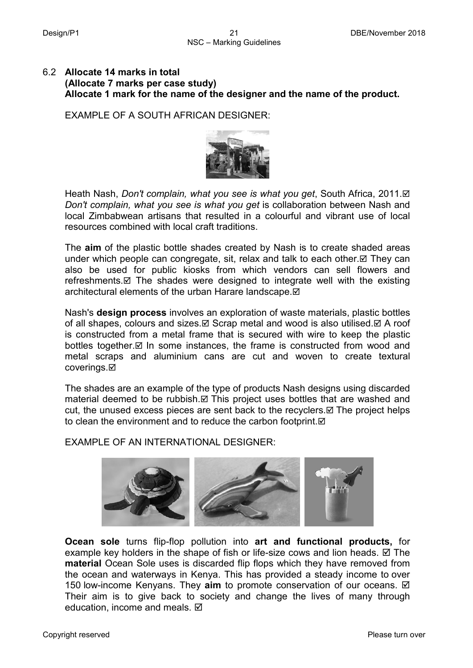## 6.2 **Allocate 14 marks in total (Allocate 7 marks per case study) Allocate 1 mark for the name of the designer and the name of the product.**

EXAMPLE OF A SOUTH AFRICAN DESIGNER:



Heath Nash, *Don't complain, what you see is what you get*, South Africa, 2011. *Don't complain, what you see is what you get* is collaboration between Nash and local Zimbabwean artisans that resulted in a colourful and vibrant use of local resources combined with local craft traditions.

The **aim** of the plastic bottle shades created by Nash is to create shaded areas under which people can congregate, sit, relax and talk to each other. $\boxtimes$  They can also be used for public kiosks from which vendors can sell flowers and refreshments. $\boxtimes$  The shades were designed to integrate well with the existing architectural elements of the urban Harare landscape. $\boxtimes$ 

Nash's **design process** involves an exploration of waste materials, plastic bottles of all shapes, colours and sizes.  $\boxtimes$  Scrap metal and wood is also utilised.  $\boxtimes$  A roof is constructed from a metal frame that is secured with wire to keep the plastic bottles together.  $\boxtimes$  In some instances, the frame is constructed from wood and metal scraps and aluminium cans are cut and woven to create textural coverings.**⊠** 

The shades are an example of the type of products Nash designs using discarded material deemed to be rubbish. $\boxtimes$  This project uses bottles that are washed and cut, the unused excess pieces are sent back to the recyclers. $\boxtimes$  The project helps to clean the environment and to reduce the carbon footprint.  $\boxtimes$ 

EXAMPLE OF AN INTERNATIONAL DESIGNER:



**Ocean sole** turns flip-flop pollution into **art and functional products,** for example key holders in the shape of fish or life-size cows and lion heads.  $\boxtimes$  The **material** Ocean Sole uses is discarded flip flops which they have removed from the ocean and waterways in Kenya. This has provided a steady income to over 150 low-income Kenyans. They **aim** to promote conservation of our oceans. Their aim is to give back to society and change the lives of many through education, income and meals. Ø